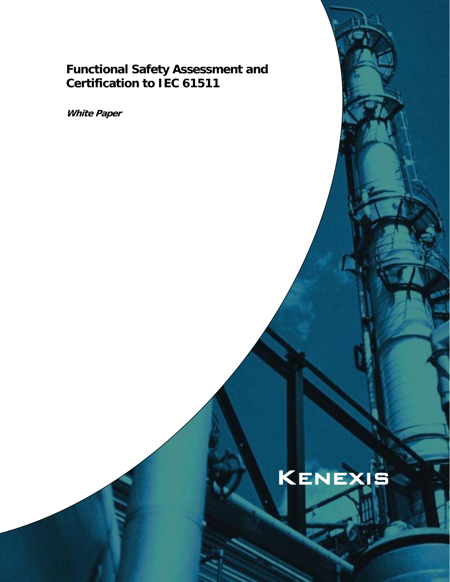# **Functional Safety Assessment and Certification to IEC 61511**

**White Paper** 

# Kenexis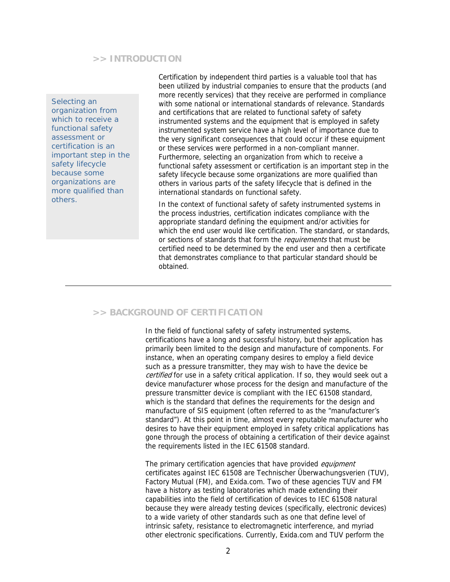#### **>> INTRODUCTION**

*Selecting an organization from which to receive a functional safety assessment or certification is an important step in the safety lifecycle because some organizations are more qualified than others.* 

Certification by independent third parties is a valuable tool that has been utilized by industrial companies to ensure that the products (and more recently services) that they receive are performed in compliance with some national or international standards of relevance. Standards and certifications that are related to functional safety of safety instrumented systems and the equipment that is employed in safety instrumented system service have a high level of importance due to the very significant consequences that could occur if these equipment or these services were performed in a non-compliant manner. Furthermore, selecting an organization from which to receive a functional safety assessment or certification is an important step in the safety lifecycle because some organizations are more qualified than others in various parts of the safety lifecycle that is defined in the international standards on functional safety.

In the context of functional safety of safety instrumented systems in the process industries, certification indicates compliance with the appropriate standard defining the equipment and/or activities for which the end user would like certification. The standard, or standards, or sections of standards that form the requirements that must be certified need to be determined by the end user and then a certificate that demonstrates compliance to that particular standard should be obtained.

# **>> BACKGROUND OF CERTIFICATION**

In the field of functional safety of safety instrumented systems, certifications have a long and successful history, but their application has primarily been limited to the design and manufacture of components. For instance, when an operating company desires to employ a field device such as a pressure transmitter, they may wish to have the device be certified for use in a safety critical application. If so, they would seek out a device manufacturer whose process for the design and manufacture of the pressure transmitter device is compliant with the IEC 61508 standard, which is the standard that defines the requirements for the design and manufacture of SIS equipment (often referred to as the "manufacturer's standard"). At this point in time, almost every reputable manufacturer who desires to have their equipment employed in safety critical applications has gone through the process of obtaining a certification of their device against the requirements listed in the IEC 61508 standard.

The primary certification agencies that have provided equipment certificates against IEC 61508 are Technischer Überwachungsverien (TUV), Factory Mutual (FM), and Exida.com. Two of these agencies TUV and FM have a history as testing laboratories which made extending their capabilities into the field of certification of devices to IEC 61508 natural because they were already testing devices (specifically, electronic devices) to a wide variety of other standards such as one that define level of intrinsic safety, resistance to electromagnetic interference, and myriad other electronic specifications. Currently, Exida.com and TUV perform the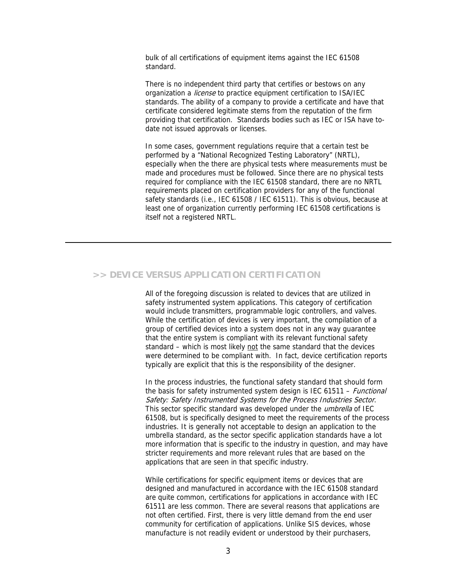bulk of all certifications of equipment items against the IEC 61508 standard.

There is no independent third party that certifies or bestows on any organization a *license* to practice equipment certification to ISA/IEC standards. The ability of a company to provide a certificate and have that certificate considered legitimate stems from the reputation of the firm providing that certification. Standards bodies such as IEC or ISA have todate not issued approvals or licenses.

In some cases, government regulations require that a certain test be performed by a "National Recognized Testing Laboratory" (NRTL), especially when the there are physical tests where measurements must be made and procedures must be followed. Since there are no physical tests required for compliance with the IEC 61508 standard, there are no NRTL requirements placed on certification providers for any of the functional safety standards (i.e., IEC 61508 / IEC 61511). This is obvious, because at least one of organization currently performing IEC 61508 certifications is itself not a registered NRTL.

# **>> DEVICE VERSUS APPLICATION CERTIFICATION**

All of the foregoing discussion is related to devices that are utilized in safety instrumented system applications. This category of certification would include transmitters, programmable logic controllers, and valves. While the certification of devices is very important, the compilation of a group of certified devices into a system does not in any way guarantee that the entire system is compliant with its relevant functional safety standard – which is most likely not the same standard that the devices were determined to be compliant with. In fact, device certification reports typically are explicit that this is the responsibility of the designer.

In the process industries, the functional safety standard that should form the basis for safety instrumented system design is IEC 61511 - Functional Safety: Safety Instrumented Systems for the Process Industries Sector. This sector specific standard was developed under the *umbrella* of IEC 61508, but is specifically designed to meet the requirements of the process industries. It is generally not acceptable to design an application to the umbrella standard, as the sector specific application standards have a lot more information that is specific to the industry in question, and may have stricter requirements and more relevant rules that are based on the applications that are seen in that specific industry.

While certifications for specific equipment items or devices that are designed and manufactured in accordance with the IEC 61508 standard are quite common, certifications for applications in accordance with IEC 61511 are less common. There are several reasons that applications are not often certified. First, there is very little demand from the end user community for certification of applications. Unlike SIS devices, whose manufacture is not readily evident or understood by their purchasers,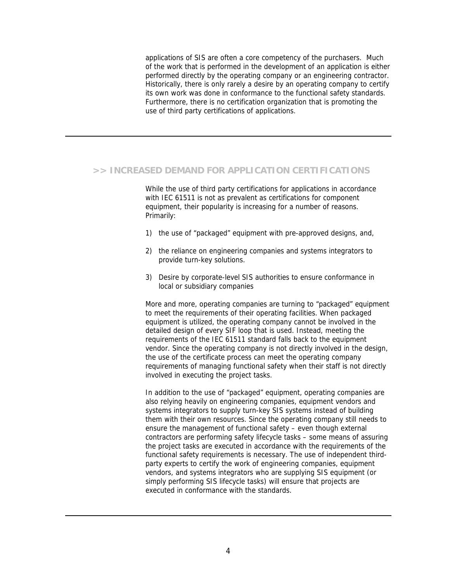applications of SIS are often a core competency of the purchasers. Much of the work that is performed in the development of an application is either performed directly by the operating company or an engineering contractor. Historically, there is only rarely a desire by an operating company to certify its own work was done in conformance to the functional safety standards. Furthermore, there is no certification organization that is promoting the use of third party certifications of applications.

### **>> INCREASED DEMAND FOR APPLICATION CERTIFICATIONS**

While the use of third party certifications for applications in accordance with IEC 61511 is not as prevalent as certifications for component equipment, their popularity is increasing for a number of reasons. Primarily:

- 1) the use of "packaged" equipment with pre-approved designs, and,
- 2) the reliance on engineering companies and systems integrators to provide turn-key solutions.
- 3) Desire by corporate-level SIS authorities to ensure conformance in local or subsidiary companies

More and more, operating companies are turning to "packaged" equipment to meet the requirements of their operating facilities. When packaged equipment is utilized, the operating company cannot be involved in the detailed design of every SIF loop that is used. Instead, meeting the requirements of the IEC 61511 standard falls back to the equipment vendor. Since the operating company is not directly involved in the design, the use of the certificate process can meet the operating company requirements of managing functional safety when their staff is not directly involved in executing the project tasks.

In addition to the use of "packaged" equipment, operating companies are also relying heavily on engineering companies, equipment vendors and systems integrators to supply turn-key SIS systems instead of building them with their own resources. Since the operating company still needs to ensure the management of functional safety – even though external contractors are performing safety lifecycle tasks – some means of assuring the project tasks are executed in accordance with the requirements of the functional safety requirements is necessary. The use of independent thirdparty experts to certify the work of engineering companies, equipment vendors, and systems integrators who are supplying SIS equipment (or simply performing SIS lifecycle tasks) will ensure that projects are executed in conformance with the standards.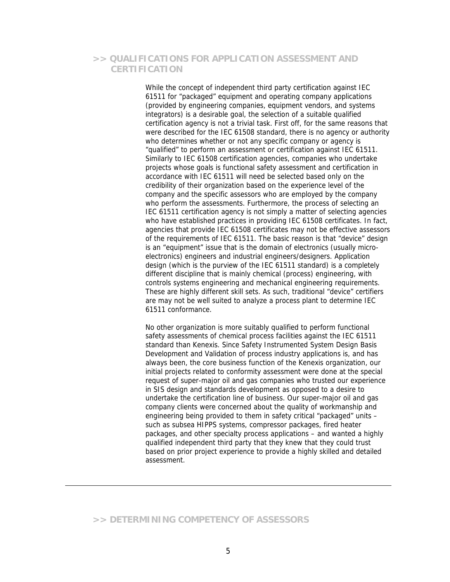# **>> QUALIFICATIONS FOR APPLICATION ASSESSMENT AND CERTIFICATION**

While the concept of independent third party certification against IEC 61511 for "packaged" equipment and operating company applications (provided by engineering companies, equipment vendors, and systems integrators) is a desirable goal, the selection of a suitable qualified certification agency is not a trivial task. First off, for the same reasons that were described for the IEC 61508 standard, there is no agency or authority who determines whether or not any specific company or agency is "qualified" to perform an assessment or certification against IEC 61511. Similarly to IEC 61508 certification agencies, companies who undertake projects whose goals is functional safety assessment and certification in accordance with IEC 61511 will need be selected based only on the credibility of their organization based on the experience level of the company and the specific assessors who are employed by the company who perform the assessments. Furthermore, the process of selecting an IEC 61511 certification agency is not simply a matter of selecting agencies who have established practices in providing IEC 61508 certificates. In fact, agencies that provide IEC 61508 certificates may not be effective assessors of the requirements of IEC 61511. The basic reason is that "device" design is an "equipment" issue that is the domain of electronics (usually microelectronics) engineers and industrial engineers/designers. Application design (which is the purview of the IEC 61511 standard) is a completely different discipline that is mainly chemical (process) engineering, with controls systems engineering and mechanical engineering requirements. These are highly different skill sets. As such, traditional "device" certifiers are may not be well suited to analyze a process plant to determine IEC 61511 conformance.

No other organization is more suitably qualified to perform functional safety assessments of chemical process facilities against the IEC 61511 standard than Kenexis. Since Safety Instrumented System Design Basis Development and Validation of process industry applications is, and has always been, the core business function of the Kenexis organization, our initial projects related to conformity assessment were done at the special request of super-major oil and gas companies who trusted our experience in SIS design and standards development as opposed to a desire to undertake the certification line of business. Our super-major oil and gas company clients were concerned about the quality of workmanship and engineering being provided to them in safety critical "packaged" units – such as subsea HIPPS systems, compressor packages, fired heater packages, and other specialty process applications – and wanted a highly qualified independent third party that they knew that they could trust based on prior project experience to provide a highly skilled and detailed assessment.

# **>> DETERMINING COMPETENCY OF ASSESSORS**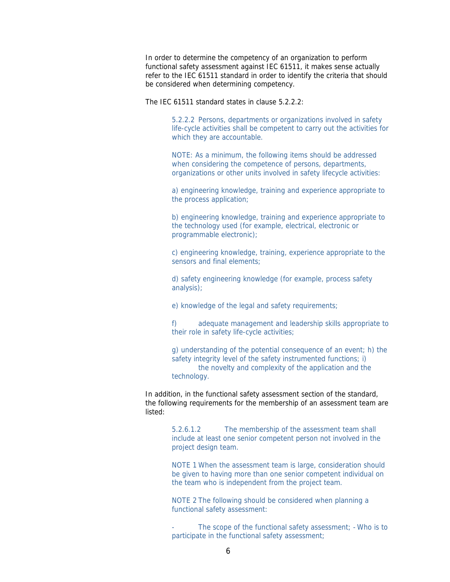In order to determine the competency of an organization to perform functional safety assessment against IEC 61511, it makes sense actually refer to the IEC 61511 standard in order to identify the criteria that should be considered when determining competency.

The IEC 61511 standard states in clause 5.2.2.2:

5.2.2.2 Persons, departments or organizations involved in safety life-cycle activities shall be competent to carry out the activities for which they are accountable.

NOTE: As a minimum, the following items should be addressed when considering the competence of persons, departments, organizations or other units involved in safety lifecycle activities:

a) engineering knowledge, training and experience appropriate to the process application;

b) engineering knowledge, training and experience appropriate to the technology used (for example, electrical, electronic or programmable electronic);

c) engineering knowledge, training, experience appropriate to the sensors and final elements:

d) safety engineering knowledge (for example, process safety analysis);

e) knowledge of the legal and safety requirements;

f) adequate management and leadership skills appropriate to their role in safety life-cycle activities;

g) understanding of the potential consequence of an event; h) the safety integrity level of the safety instrumented functions; i) the novelty and complexity of the application and the technology.

In addition, in the functional safety assessment section of the standard, the following requirements for the membership of an assessment team are listed:

> 5.2.6.1.2 The membership of the assessment team shall include at least one senior competent person not involved in the project design team.

NOTE 1 When the assessment team is large, consideration should be given to having more than one senior competent individual on the team who is independent from the project team.

NOTE 2 The following should be considered when planning a functional safety assessment:

The scope of the functional safety assessment; - Who is to participate in the functional safety assessment;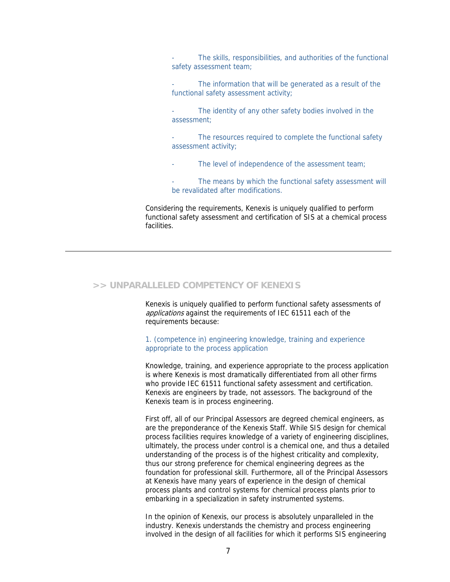The skills, responsibilities, and authorities of the functional safety assessment team:

- The information that will be generated as a result of the functional safety assessment activity;
- The identity of any other safety bodies involved in the assessment;
- The resources required to complete the functional safety assessment activity;
- The level of independence of the assessment team;
- The means by which the functional safety assessment will be revalidated after modifications.

Considering the requirements, Kenexis is uniquely qualified to perform functional safety assessment and certification of SIS at a chemical process facilities.

#### **>> UNPARALLELED COMPETENCY OF KENEXIS**

Kenexis is uniquely qualified to perform functional safety assessments of applications against the requirements of IEC 61511 each of the requirements because:

1. (competence in) engineering knowledge, training and experience appropriate to the process application

Knowledge, training, and experience appropriate to the process application is where Kenexis is most dramatically differentiated from all other firms who provide IEC 61511 functional safety assessment and certification. Kenexis are engineers by trade, not assessors. The background of the Kenexis team is in process engineering.

First off, all of our Principal Assessors are degreed chemical engineers, as are the preponderance of the Kenexis Staff. While SIS design for chemical process facilities requires knowledge of a variety of engineering disciplines, ultimately, the process under control is a chemical one, and thus a detailed understanding of the process is of the highest criticality and complexity, thus our strong preference for chemical engineering degrees as the foundation for professional skill. Furthermore, all of the Principal Assessors at Kenexis have many years of experience in the design of chemical process plants and control systems for chemical process plants prior to embarking in a specialization in safety instrumented systems.

In the opinion of Kenexis, our process is absolutely unparalleled in the industry. Kenexis understands the chemistry and process engineering involved in the design of all facilities for which it performs SIS engineering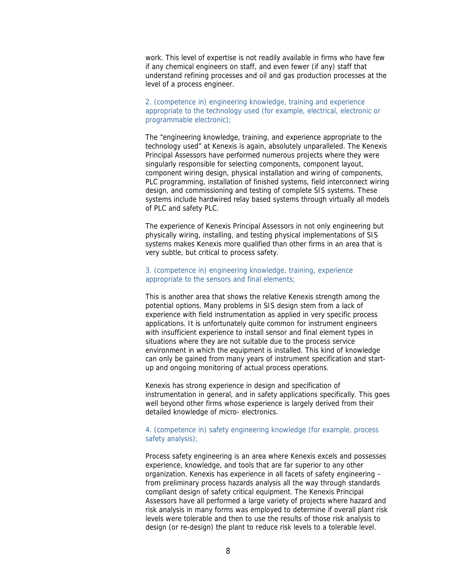work. This level of expertise is not readily available in firms who have few if any chemical engineers on staff, and even fewer (if any) staff that understand refining processes and oil and gas production processes at the level of a process engineer.

#### 2. (competence in) engineering knowledge, training and experience appropriate to the technology used (for example, electrical, electronic or programmable electronic);

The "engineering knowledge, training, and experience appropriate to the technology used" at Kenexis is again, absolutely unparalleled. The Kenexis Principal Assessors have performed numerous projects where they were singularly responsible for selecting components, component layout, component wiring design, physical installation and wiring of components, PLC programming, installation of finished systems, field interconnect wiring design, and commissioning and testing of complete SIS systems. These systems include hardwired relay based systems through virtually all models of PLC and safety PLC.

The experience of Kenexis Principal Assessors in not only engineering but physically wiring, installing, and testing physical implementations of SIS systems makes Kenexis more qualified than other firms in an area that is very subtle, but critical to process safety.

#### 3. (competence in) engineering knowledge, training, experience appropriate to the sensors and final elements;

This is another area that shows the relative Kenexis strength among the potential options. Many problems in SIS design stem from a lack of experience with field instrumentation as applied in very specific process applications. It is unfortunately quite common for instrument engineers with insufficient experience to install sensor and final element types in situations where they are not suitable due to the process service environment in which the equipment is installed. This kind of knowledge can only be gained from many years of instrument specification and startup and ongoing monitoring of actual process operations.

Kenexis has strong experience in design and specification of instrumentation in general, and in safety applications specifically. This goes well beyond other firms whose experience is largely derived from their detailed knowledge of micro- electronics.

#### 4. (competence in) safety engineering knowledge (for example, process safety analysis);

Process safety engineering is an area where Kenexis excels and possesses experience, knowledge, and tools that are far superior to any other organization. Kenexis has experience in all facets of safety engineering – from preliminary process hazards analysis all the way through standards compliant design of safety critical equipment. The Kenexis Principal Assessors have all performed a large variety of projects where hazard and risk analysis in many forms was employed to determine if overall plant risk levels were tolerable and then to use the results of those risk analysis to design (or re-design) the plant to reduce risk levels to a tolerable level.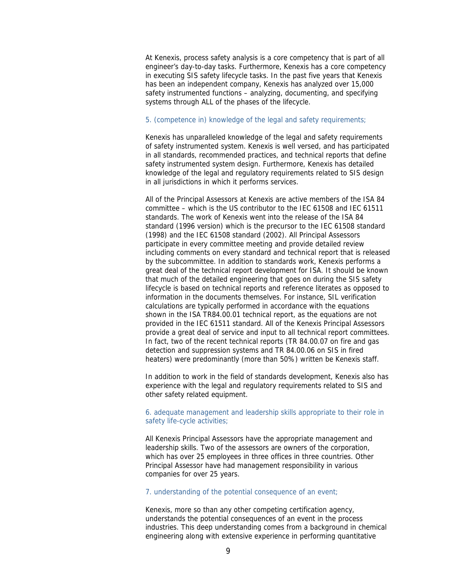At Kenexis, process safety analysis is a core competency that is part of all engineer's day-to-day tasks. Furthermore, Kenexis has a core competency in executing SIS safety lifecycle tasks. In the past five years that Kenexis has been an independent company, Kenexis has analyzed over 15,000 safety instrumented functions – analyzing, documenting, and specifying systems through ALL of the phases of the lifecycle.

#### 5. (competence in) knowledge of the legal and safety requirements;

Kenexis has unparalleled knowledge of the legal and safety requirements of safety instrumented system. Kenexis is well versed, and has participated in all standards, recommended practices, and technical reports that define safety instrumented system design. Furthermore, Kenexis has detailed knowledge of the legal and regulatory requirements related to SIS design in all jurisdictions in which it performs services.

All of the Principal Assessors at Kenexis are active members of the ISA 84 committee – which is the US contributor to the IEC 61508 and IEC 61511 standards. The work of Kenexis went into the release of the ISA 84 standard (1996 version) which is the precursor to the IEC 61508 standard (1998) and the IEC 61508 standard (2002). All Principal Assessors participate in every committee meeting and provide detailed review including comments on every standard and technical report that is released by the subcommittee. In addition to standards work, Kenexis performs a great deal of the technical report development for ISA. It should be known that much of the detailed engineering that goes on during the SIS safety lifecycle is based on technical reports and reference literates as opposed to information in the documents themselves. For instance, SIL verification calculations are typically performed in accordance with the equations shown in the ISA TR84.00.01 technical report, as the equations are not provided in the IEC 61511 standard. All of the Kenexis Principal Assessors provide a great deal of service and input to all technical report committees. In fact, two of the recent technical reports (TR 84.00.07 on fire and gas detection and suppression systems and TR 84.00.06 on SIS in fired heaters) were predominantly (more than 50%) written be Kenexis staff.

In addition to work in the field of standards development, Kenexis also has experience with the legal and regulatory requirements related to SIS and other safety related equipment.

#### 6. adequate management and leadership skills appropriate to their role in safety life-cycle activities;

All Kenexis Principal Assessors have the appropriate management and leadership skills. Two of the assessors are owners of the corporation, which has over 25 employees in three offices in three countries. Other Principal Assessor have had management responsibility in various companies for over 25 years.

#### 7. understanding of the potential consequence of an event;

Kenexis, more so than any other competing certification agency, understands the potential consequences of an event in the process industries. This deep understanding comes from a background in chemical engineering along with extensive experience in performing quantitative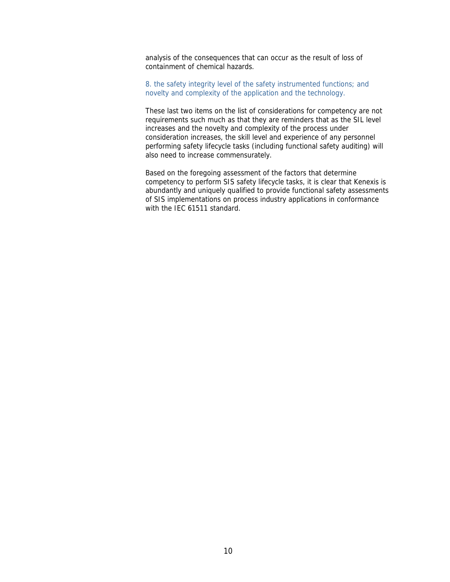analysis of the consequences that can occur as the result of loss of containment of chemical hazards.

8. the safety integrity level of the safety instrumented functions; and novelty and complexity of the application and the technology.

These last two items on the list of considerations for competency are not requirements such much as that they are reminders that as the SIL level increases and the novelty and complexity of the process under consideration increases, the skill level and experience of any personnel performing safety lifecycle tasks (including functional safety auditing) will also need to increase commensurately.

Based on the foregoing assessment of the factors that determine competency to perform SIS safety lifecycle tasks, it is clear that Kenexis is abundantly and uniquely qualified to provide functional safety assessments of SIS implementations on process industry applications in conformance with the IEC 61511 standard.